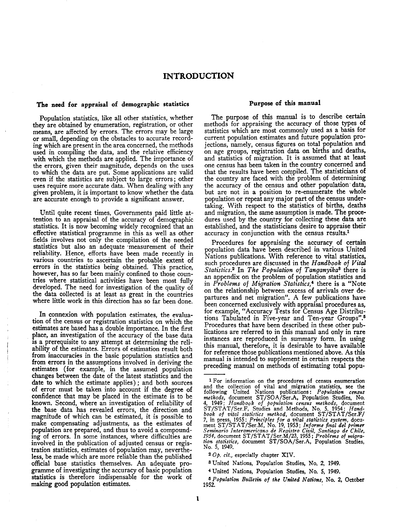# INTRODUCTION

### The need for appraisal of demographic statistics

Population statistics, like all other statistics, whether they are obtained by enumeration, registration, or other means, are affected by errors. The errors may be large or small, depending on the obstacles to accurate recording which are present in the area concerned, the methods used in compiling the data, and the relative efficiency with which the methods are applied. The importance of the errors, given their magnitude, depends on the uses to which the data are put. Some applications are valid even if the statistics are subject to large errors; other uses require more accurate data. When dealing with any given problem, it is important to know whether the data are accurate enough to provide a significant answer.

Until quite recent times, Governments paid little attention to an appraisal of the accuracy of demographic statistics. It is now becoming widely recognized that an effective statistical programme in this as well as other fields involves not only the compilation of the needed statistics but also an adequate 'measurement of their reliability. Hence, efforts have been made recently in various countries to ascertain the probable extent of errors in the statistics being obtained. This practice, however, has so far been mainly confined to those countries where statistical activities have been most fully developed. The need for investigation of the quality of the data collected is at least as great in the countries where little work in this direction has so far been done.

In connexion with population estimates, the evaluation of the census or registration statistics on which the estimates are based has a double importance. In the first place, an investigation of the accuracy of the base data is a prerequisite to any attempt at determining the reliability of the estimates. Errors of estimation result both from inaccuracies in the basic population statistics and from errors in the assumptions involved in deriving the estimates (for example, in the assumed population changes between the date of the latest statistics and the date to which the estimate applies); and both sources of error must be taken into account if the degree of confidence that may be placed in the estimate is to be known. Second, where an investigation of reliability of the base data has revealed errors, the direction and magnitude of which can be estimated, it is possible to make compensating adjustments, as the estimates of population are prepared, and thus to avoid a compounding of errors. In some instances, where difficulties are involved in the publication of adjusted census or registration statistics, estimates of population may, nevertheless, be made which are more reliable than the published official base statistics themselves. An adequate programme of investigating the accuracy of basic population statistics is therefore indispensable for the work of making good population estimates.

## Purpose of this manual

The purpose of this manual is to describe certain methods for appraising the accuracy of those types of statistics which are most commonly used as a basis for current population estimates and future population projections, namely, census figures on total population and on age groups, registration data on births and deaths, and statistics of migration. It is assumed that at least one census has been taken in the country concerned and that the results have been compiled. The statisticians of the country are faced with the problem of determining the accuracy of the census and other population' data, but are not in a position to re-enumerate the whole population or repeat any major part of the census undertaking. With respect to the statistics of births, deaths and migration, the same assumption is made. The procedures used by the country for collecting these data are established, and the statisticians desire to appraise their accuracy in conjunction with the census results.<sup>1</sup>

Procedures for appraising the accuracy of certain population data have been described in various United Nations publications. With reference to vital statistics, such procedures are discussed in the *Handbook of Vital Statistics.2* In *The Population of TanganyikaS* there is an appendix on the problem of population statistics and in *Problems of Migration Statistics,'* there is a "Note on the relationship between excess of arrivals over departures and net migration". A few publications have been concerned exclusively with appraisal procedures as, for example, "Accuracy Tests for Census Age Distributions Tabulated in Five-year and Ten-year Groups".<sup>5</sup> Procedures that have been described in these other publications are referred to in this manual and only in rare instances are reproduced in summary form. In using this manual, therefore, it is desirable to have available for reference those publications mentioned above. As this manual is intended to supplement in certain respects the preceding manual on methods of estimating total popu-

*2 Gp. cit.,* especially chapter XIV.

'United Nations, Population Studies, No.5, 1949.

<sup>1</sup> For information on the procedures of census enumeration and the collection of vital and migration statistics, see the following United Nations publications: *Population census methods,* document ST/SOA/Ser.A, Population Studies, No. 4, 1949; *Handbook of population census methods,* document ST/STAT/Ser.F, Studies and Methods, No.5, 1954; *Hand-book of vital statistics method,* document ST/STAT/Ser.F/ 7, in press, 1955; *Principles fora vital statistics system,* document ST/STAT/Ser.M, No. 19, 1953; Informe final del primer<br>Seminario Interamericano de Registro Civil, Santiago de Chile,<br>1954, document ST/STAT/Ser.M/23, 1955; Problems of migra*tion statistics,* document ST/SOA/Ser.A, Population Studies, No.5, 1949.

<sup>8</sup> United Nations, Population Studies, No.2, 1949.

<sup>&</sup>lt;sup>5</sup> *Population Bulletin of the United Nations*, No. 2, October 1952.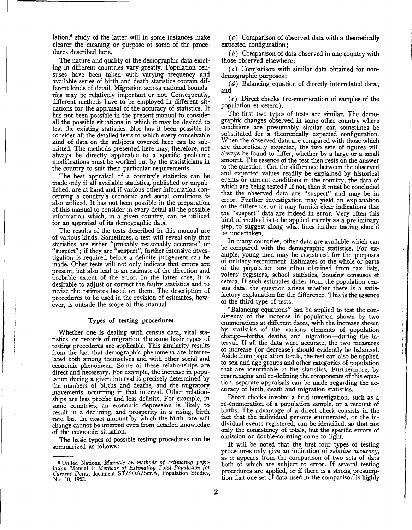lation,6 study of the latter will in some instances make clearer the meaning or purpose of some of the procedures described here.

The nature and quality of the demographic data existing in different countries vary greatly. Population censuses have been taken with varying frequency and available series of birth and death statistics contain different kinds of detail. Migration across national boundaries may be relatively important or not. Consequently, different methods have to be employed in different situations for the appraisal of the accuracy of statistics. It has not been possible in the present manual to consider all the possible situations in which it may be desired to test the existing statistics. Nor has it been possible to consider all the detailed tests to which every conceivable kind of data on the subjects covered here can be submitted. The methods presented here may, therefore, not always be directly applicable to a specific problem; modifications must be worked out by the statisticians in the country to suit their particular requirements.

The best appraisal of a country's statistics can be made only if all available statistics, published or unpublished, are at hand and if various other information concerning a country's economic and social conditions is also utilized. It has not been possible in the preparation of this manual to consider in every detail all the possible information which, in a given country, can be utilized for an appraisal of its demographic data.

The results of the tests described in this manual are of various kinds. Sometimes, a test will reveal only that statistics are either "probably reasonably accurate" or "suspect"; if they are "suspect", further intensive investigation is required before a definite judgement can be made. Other tests will not only indicate that errors are present, but also lead to an estimate of the direction and probable extent of the error. In the latter case, it is desirable to adjust or correct the faulty statistics and to revise the estimates based on them. The description of procedures to be used in the revision of estimates, however, is outside the scope of this manual.

#### Types of testing procedures

Whether one is dealing with census data, vital statistics, or records of migration, the same basic types of testing procedures are applicable. This similarity results from the fact that demographic phenomena are interrelated both among themselves and with other social and economic phenomena. Some of these relationships are direct and necessary. For example, the increase in population during a given interval is precisely determined by the numbers of births and deaths, and the migratory movements, occurring in that interval. Other relationships are less precise and less definite. For example, in some countries, an economic depression is likely to result in a declining, and prosperity in a rising, birth rate, but the exact amount by which the birth rate will change cannot be inferred even from detailed knowledge of the economic situation.

The basic types of possible testing procedures can be summarized as follows:

(a) Comparison of observed data with a theoretically expected configuration;

(b) Comparison of data observed in one country with those observed elsewhere;

 $(c)$  Comparison with similar data obtained for nondemographic purposes;

(d) Balancing equation of directly interrelated data; and

*(e*) Direct checks (re-enumeration of samples of the population et cetera).

The first two types of tests are similar. The demographic changes observed in some other country where conditions are presumably similar can sometimes be substituted for a theoretically expected configuration. When the observed data are compared with those which are theoretically expected, the two sets of figures will always be found to differ, whether by a large or a small amount. The essence of the test then rests on the answer to the question: Can the difference between the observed and expected values readily be explained by historical events or current conditions in the country, the data of which are being tested? If not, then it must be concluded that the observed data are "suspect" and may be in error. Further investigation may yield an explanation of the difference, or it may furnish clear indications that the "suspect" data are indeed in error. Very often this kind of method is to be applied merely as a preliminary step, to suggest along what lmes further testing should be undertaken.

In many countries, other data are available which can be compared with the demographic statistics. For example, young men may be registered for the purposes of military recruitment. Estimates of the whole or parts of the population are often obtamed from tax lists, voters' registers, school statistics, housing censuses et cetera. If such estimates differ from the population census data, the question arises whether there is a satisfactory explanation for the difference. This is the essence of the third type of tests.

. "Balancing equations" can be applied to test the consistency of the increase in population shown by two enumerations at different dates, with the increase shown by statistics of the various elements of population change-births, deaths, and migration-during the interval. If all the data were accurate, the two measures of increase (or decrease) should evidently be balanced. Aside from population totals, the test can also be applied to sex and age groups and other categories of population that are identifiable in the statistics. Furthermore, by rearranging and re-defining the components of this equation, separate appraisals can be made regarding the accuracy of birth, death and migration statistics.

Direct checks involve a field investigation, such as a re-enumeration of a population sample, or a recount of births. The advantage of a direct check consists in the fact that the individual persons enumerated, or the individual events registered, can be identified, so that not only the consistency of totals, but the specific errors of omission or double-counting come to light.

It will be noted that the first four types of testing procedures only give an indication of *relative accuracy* as it appears from the comparison of two sets of data<br>both of which are subject to error. If several testing procedures are applied, or if there is a strong presumption that one set of data used in the comparison is highly

<sup>&</sup>lt;sup>6</sup> United Nations, Manuals on methods of estimating popu-<br>lation. Manual I: Methods of Estimating Total Population for<br>Current Dates, document ST/SOA/Ser.A, Population Studies, No. 10, 1952.